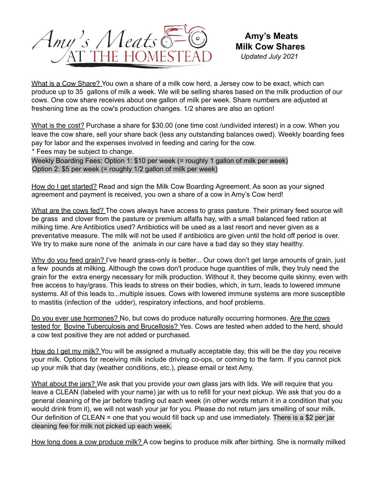

What is a Cow Share? You own a share of a milk cow herd, a Jersey cow to be exact, which can produce up to 35 gallons of milk a week. We will be selling shares based on the milk production of our cows. One cow share receives about one gallon of milk per week. Share numbers are adjusted at freshening time as the cow's production changes. 1/2 shares are also an option!

What is the cost? Purchase a share for \$30.00 (one time cost /undivided interest) in a cow. When you leave the cow share, sell your share back (less any outstanding balances owed). Weekly boarding fees pay for labor and the expenses involved in feeding and caring for the cow.

\* Fees may be subject to change.

Weekly Boarding Fees; Option 1: \$10 per week (= roughly 1 gallon of milk per week) Option 2: \$5 per week (= roughly 1/2 gallon of milk per week)

How do I get started? Read and sign the Milk Cow Boarding Agreement. As soon as your signed agreement and payment is received, you own a share of a cow in Amy's Cow herd!

What are the cows fed? The cows always have access to grass pasture. Their primary feed source will be grass and clover from the pasture or premium alfalfa hay, with a small balanced feed ration at milking time. Are Antibiotics used? Antibiotics will be used as a last resort and never given as a preventative measure. The milk will not be used if antibiotics are given until the hold off period is over. We try to make sure none of the animals in our care have a bad day so they stay healthy.

Why do you feed grain? I've heard grass-only is better... Our cows don't get large amounts of grain, just a few pounds at milking. Although the cows don't produce huge quantities of milk, they truly need the grain for the extra energy necessary for milk production. Without it, they become quite skinny, even with free access to hay/grass. This leads to stress on their bodies, which, in turn, leads to lowered immune systems. All of this leads to...multiple issues. Cows with lowered immune systems are more susceptible to mastitis (infection of the udder), respiratory infections, and hoof problems.

Do you ever use hormones? No, but cows do produce naturally occurring hormones. Are the cows tested for Bovine Tuberculosis and Brucellosis? Yes. Cows are tested when added to the herd, should a cow test positive they are not added or purchased.

How do I get my milk? You will be assigned a mutually acceptable day, this will be the day you receive your milk. Options for receiving milk include driving co-ops, or coming to the farm. If you cannot pick up your milk that day (weather conditions, etc.), please email or text Amy.

What about the jars? We ask that you provide your own glass jars with lids. We will require that you leave a CLEAN (labeled with your name) jar with us to refill for your next pickup. We ask that you do a general cleaning of the jar before trading out each week (in other words return it in a condition that you would drink from it), we will not wash your jar for you. Please do not return jars smelling of sour milk. Our definition of CLEAN = one that you would fill back up and use immediately. There is a \$2 per jar cleaning fee for milk not picked up each week.

How long does a cow produce milk? A cow begins to produce milk after birthing. She is normally milked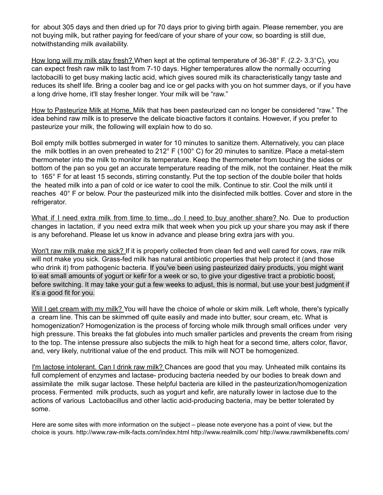for about 305 days and then dried up for 70 days prior to giving birth again. Please remember, you are not buying milk, but rather paying for feed/care of your share of your cow, so boarding is still due, notwithstanding milk availability.

How long will my milk stay fresh? When kept at the optimal temperature of 36-38° F. (2.2- 3.3°C), you can expect fresh raw milk to last from 7-10 days. Higher temperatures allow the normally occurring lactobacilli to get busy making lactic acid, which gives soured milk its characteristically tangy taste and reduces its shelf life. Bring a cooler bag and ice or gel packs with you on hot summer days, or if you have a long drive home, it'll stay fresher longer. Your milk will be "raw."

How to Pasteurize Milk at Home. Milk that has been pasteurized can no longer be considered "raw." The idea behind raw milk is to preserve the delicate bioactive factors it contains. However, if you prefer to pasteurize your milk, the following will explain how to do so.

Boil empty milk bottles submerged in water for 10 minutes to sanitize them. Alternatively, you can place the milk bottles in an oven preheated to 212° F (100° C) for 20 minutes to sanitize. Place a metal-stem thermometer into the milk to monitor its temperature. Keep the thermometer from touching the sides or bottom of the pan so you get an accurate temperature reading of the milk, not the container. Heat the milk to 165° F for at least 15 seconds, stirring constantly. Put the top section of the double boiler that holds the heated milk into a pan of cold or ice water to cool the milk. Continue to stir. Cool the milk until it reaches 40° F or below. Pour the pasteurized milk into the disinfected milk bottles. Cover and store in the refrigerator.

What if I need extra milk from time to time...do I need to buy another share? No. Due to production changes in lactation, if you need extra milk that week when you pick up your share you may ask if there is any beforehand. Please let us know in advance and please bring extra jars with you.

Won't raw milk make me sick? If it is properly collected from clean fed and well cared for cows, raw milk will not make you sick. Grass-fed milk has natural antibiotic properties that help protect it (and those who drink it) from pathogenic bacteria. If you've been using pasteurized dairy products, you might want to eat small amounts of yogurt or kefir for a week or so, to give your digestive tract a probiotic boost, before switching. It may take your gut a few weeks to adjust, this is normal, but use your best judgment if it's a good fit for you.

Will I get cream with my milk? You will have the choice of whole or skim milk. Left whole, there's typically a cream line. This can be skimmed off quite easily and made into butter, sour cream, etc. What is homogenization? Homogenization is the process of forcing whole milk through small orifices under very high pressure. This breaks the fat globules into much smaller particles and prevents the cream from rising to the top. The intense pressure also subjects the milk to high heat for a second time, alters color, flavor, and, very likely, nutritional value of the end product. This milk will NOT be homogenized.

I'm lactose intolerant. Can I drink raw milk? Chances are good that you may. Unheated milk contains its full complement of enzymes and lactase- producing bacteria needed by our bodies to break down and assimilate the milk sugar lactose. These helpful bacteria are killed in the pasteurization/homogenization process. Fermented milk products, such as yogurt and kefir, are naturally lower in lactose due to the actions of various Lactobacillus and other lactic acid-producing bacteria, may be better tolerated by some.

Here are some sites with more information on the subject – please note everyone has a point of view, but the choice is yours. http://www.raw-milk-facts.com/index.html http://www.realmilk.com/ http://www.rawmilkbenefits.com/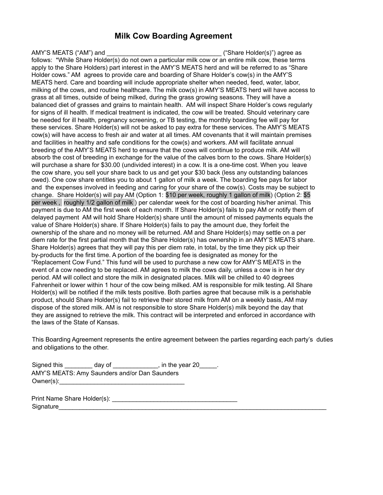## **Milk Cow Boarding Agreement**

AMY'S MEATS ("AM") and  $\qquad \qquad$  ("Share Holder(s)") agree as follows: \*While Share Holder(s) do not own a particular milk cow or an entire milk cow, these terms apply to the Share Holders) part interest in the AMY'S MEATS herd and will be referred to as "Share Holder cows." AM agrees to provide care and boarding of Share Holder's cow(s) in the AMY'S MEATS herd. Care and boarding will include appropriate shelter when needed, feed, water, labor, milking of the cows, and routine healthcare. The milk cow(s) in AMY'S MEATS herd will have access to grass at all times, outside of being milked, during the grass growing seasons. They will have a balanced diet of grasses and grains to maintain health. AM will inspect Share Holder's cows regularly for signs of ill health. If medical treatment is indicated, the cow will be treated. Should veterinary care be needed for ill health, pregnancy screening, or TB testing, the monthly boarding fee will pay for these services. Share Holder(s) will not be asked to pay extra for these services. The AMY'S MEATS cow(s) will have access to fresh air and water at all times. AM covenants that it will maintain premises and facilities in healthy and safe conditions for the cow(s) and workers. AM will facilitate annual breeding of the AMY'S MEATS herd to ensure that the cows will continue to produce milk. AM will absorb the cost of breeding in exchange for the value of the calves born to the cows. Share Holder(s) will purchase a share for \$30.00 (undivided interest) in a cow. It is a one-time cost. When you leave the cow share, you sell your share back to us and get your \$30 back (less any outstanding balances owed). One cow share entitles you to about 1 gallon of milk a week. The boarding fee pays for labor and the expenses involved in feeding and caring for your share of the cow(s). Costs may be subject to change. Share Holder(s) will pay AM (Option 1: \$10 per week, roughly 1 gallon of milk) (Option 2: \$5 per week , roughly 1/2 gallon of milk ) per calendar week for the cost of boarding his/her animal. This payment is due to AM the first week of each month. If Share Holder(s) fails to pay AM or notify them of delayed payment AM will hold Share Holder(s) share until the amount of missed payments equals the value of Share Holder(s) share. If Share Holder(s) fails to pay the amount due, they forfeit the ownership of the share and no money will be returned. AM and Share Holder(s) may settle on a per diem rate for the first partial month that the Share Holder(s) has ownership in an AMY'S MEATS share. Share Holder(s) agrees that they will pay this per diem rate, in total, by the time they pick up their by-products for the first time. A portion of the boarding fee is designated as money for the "Replacement Cow Fund." This fund will be used to purchase a new cow for AMY'S MEATS in the event of a cow needing to be replaced. AM agrees to milk the cows daily, unless a cow is in her dry period. AM will collect and store the milk in designated places. Milk will be chilled to 40 degrees Fahrenheit or lower within 1 hour of the cow being milked. AM is responsible for milk testing. All Share Holder(s) will be notified if the milk tests positive. Both parties agree that because milk is a perishable product, should Share Holder(s) fail to retrieve their stored milk from AM on a weekly basis, AM may dispose of the stored milk. AM is not responsible to store Share Holder(s) milk beyond the day that they are assigned to retrieve the milk. This contract will be interpreted and enforced in accordance with the laws of the State of Kansas.

This Boarding Agreement represents the entire agreement between the parties regarding each party's duties and obligations to the other.

| Signed this | day of                                        | , in the year 20 |
|-------------|-----------------------------------------------|------------------|
|             | AMY'S MEATS: Amy Saunders and/or Dan Saunders |                  |
| Owner(s):   |                                               |                  |

Print Name Share Holder(s): \_\_\_\_\_\_\_\_\_\_\_\_\_\_\_\_\_\_\_\_\_\_\_\_\_\_\_\_\_\_\_\_\_\_\_\_ Signature